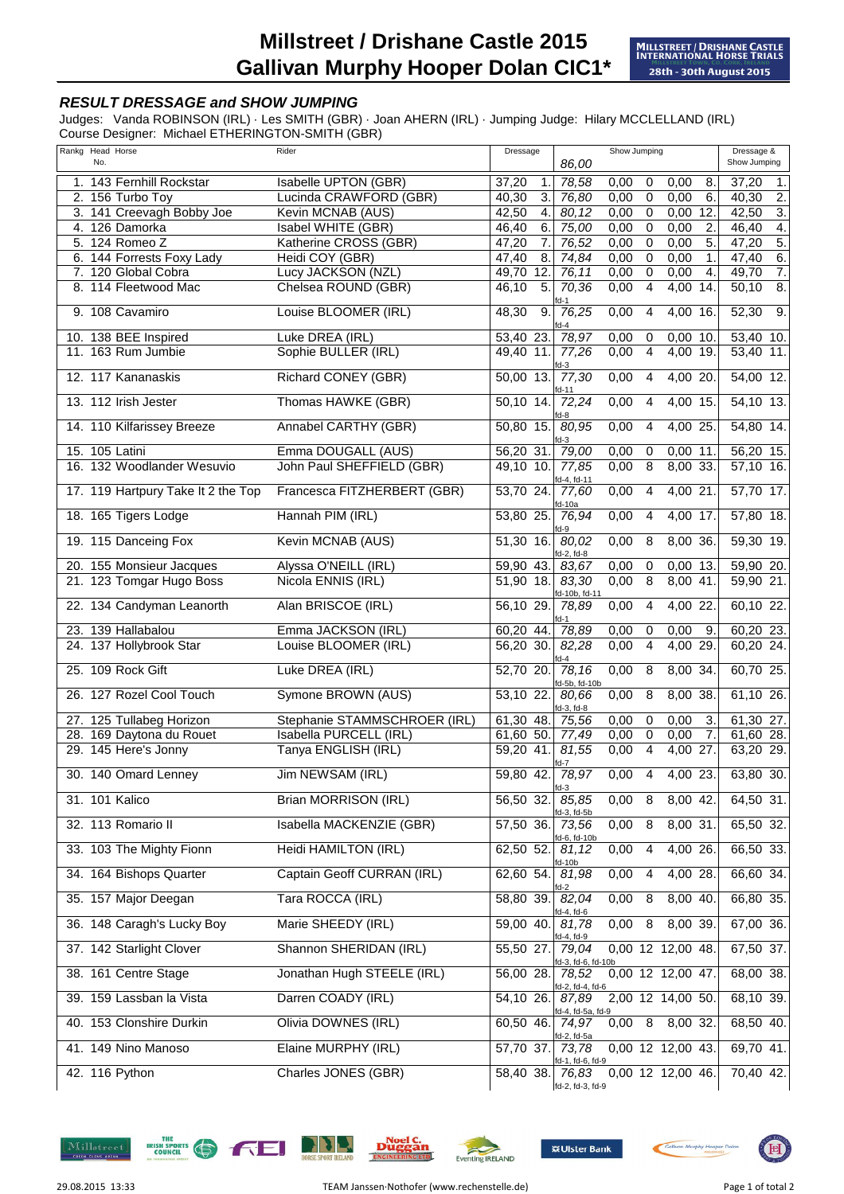## **RESULT DRESSAGE and SHOW JUMPING**

Judges: Vanda ROBINSON (IRL) · Les SMITH (GBR) · Joan AHERN (IRL) · Jumping Judge: Hilary MCCLELLAND (IRL) Course Designer: Michael ETHERINGTON-SMITH (GBR)

| Rankg Head Horse |                                    | Rider                        | Dressage                  | Show Jumping                         |      |                | Dressage &          |             |                           |
|------------------|------------------------------------|------------------------------|---------------------------|--------------------------------------|------|----------------|---------------------|-------------|---------------------------|
| No.              |                                    |                              |                           | 86,00                                |      |                |                     |             | Show Jumping              |
|                  | 1. 143 Fernhill Rockstar           | Isabelle UPTON (GBR)         | 37,20<br>$\mathbf 1$      | 78,58                                | 0,00 | $\mathbf 0$    | 0,00                | 8.          | 37,20<br>1.               |
|                  | 2. 156 Turbo Toy                   | Lucinda CRAWFORD (GBR)       | 40,30<br>3.               | 76,80                                | 0,00 | 0              | 0,00                | 6.          | 40,30<br>2.               |
|                  | 3. 141 Creevagh Bobby Joe          | Kevin MCNAB (AUS)            | 42,50<br>4.               | 80,12                                | 0,00 | $\overline{0}$ | 0,00                | 12.         | $\overline{3}$ .<br>42,50 |
|                  | 4. 126 Damorka                     | Isabel WHITE (GBR)           | 6.<br>46,40               | 75,00                                | 0,00 | $\overline{0}$ | 0,00                | 2.          | 4.<br>46,40               |
|                  | 5. 124 Romeo Z                     | Katherine CROSS (GBR)        | 47,20<br>$\overline{7}$ . | 76,52                                | 0,00 | $\overline{0}$ | 0,00                | 5.          | 5.<br>47,20               |
|                  | 6. 144 Forrests Foxy Lady          | Heidi COY (GBR)              | 47,40<br>8.               | 74,84                                | 0,00 | $\mathbf 0$    | 0,00                | $\mathbf 1$ | 6.<br>47,40               |
|                  | 7. 120 Global Cobra                | Lucy JACKSON (NZL)           | 12.<br>49,70              | 76,11                                | 0,00 | $\overline{0}$ | 0,00                | 4.          | 7.<br>49,70               |
|                  | 8. 114 Fleetwood Mac               | Chelsea ROUND (GBR)          | 5.<br>46,10               | 70,36                                | 0,00 | $\overline{4}$ | 4,00 14.            |             | $\overline{8}$ .<br>50,10 |
|                  |                                    |                              |                           | fd-1                                 |      |                |                     |             |                           |
|                  | 9. 108 Cavamiro                    | Louise BLOOMER (IRL)         | 48,30<br>9.               | 76,25<br>$d-4$                       | 0,00 | $\overline{4}$ | 4,00 16.            |             | 52,30<br>$\overline{9}$ . |
|                  | 10. 138 BEE Inspired               | Luke DREA (IRL)              | 53,40 23.                 | 78,97                                | 0,00 | $\mathbf 0$    | $0,00$ 10.          |             | 53,40 10.                 |
|                  | 11. 163 Rum Jumbie                 | Sophie BULLER (IRL)          | 49,40 11.                 | 77,26<br>d-3                         | 0,00 | $\overline{4}$ | 4,00 19.            |             | 53,40 11.                 |
|                  | 12. 117 Kananaskis                 | <b>Richard CONEY (GBR)</b>   | $50,00$ 13.               | 77,30<br>id-11                       | 0,00 | $\overline{4}$ | 4,00 20.            |             | 54,00 12.                 |
|                  | 13. 112 Irish Jester               | Thomas HAWKE (GBR)           | 50,10 14.                 | 72,24<br>d-8                         | 0,00 | 4              | 4,00 15.            |             | $54,10$ 13.               |
|                  | 14. 110 Kilfarissey Breeze         | Annabel CARTHY (GBR)         | 50,80 15.                 | 80,95<br>d-3                         | 0,00 | $\overline{4}$ | 4,00 25             |             | 54,80 14.                 |
| 15. 105 Latini   |                                    | Emma DOUGALL (AUS)           | 56,20 31.                 | 79,00                                | 0,00 | 0              | $0,00$ 11.          |             | 56,20 15.                 |
|                  | 16. 132 Woodlander Wesuvio         | John Paul SHEFFIELD (GBR)    | $49,10$ 10.               | 77,85                                | 0,00 | $\overline{8}$ | 8,00 33.            |             | $57,10$ 16.               |
|                  |                                    |                              |                           | fd-4, fd-11                          |      |                |                     |             |                           |
|                  | 17. 119 Hartpury Take It 2 the Top | Francesca FITZHERBERT (GBR)  | 53,70 24.                 | 77,60                                | 0,00 | $\overline{4}$ | 4,00 21.            |             | 57,70 17.                 |
|                  | 18. 165 Tigers Lodge               | Hannah PIM (IRL)             | 53,80 25.                 | d-10a<br>76,94<br>d-9                | 0,00 | $\overline{4}$ | 4,00 17.            |             | 57,80 18.                 |
|                  | 19. 115 Danceing Fox               | Kevin MCNAB (AUS)            | 51,30 16.                 | 80,02<br>fd-2, fd-8                  | 0,00 | 8              | 8,00 36.            |             | 59,30 19.                 |
|                  | 20. 155 Monsieur Jacques           | Alyssa O'NEILL (IRL)         | 59,90 43.                 | 83,67                                | 0,00 | 0              | $0,00$ 13.          |             | 59,90 20.                 |
|                  | 21. 123 Tomgar Hugo Boss           | Nicola ENNIS (IRL)           | 51,90 18.                 | 83,30                                | 0,00 | $\overline{8}$ | $8,00$ 41.          |             | 59,90 21.                 |
|                  |                                    |                              |                           | fd-10b, fd-11                        |      |                |                     |             |                           |
|                  | 22. 134 Candyman Leanorth          | Alan BRISCOE (IRL)           | 56,10 29.                 | 78,89<br>d-1                         | 0,00 | 4              | 4,00 22             |             | 60,10 22.                 |
|                  | 23. 139 Hallabalou                 | Emma JACKSON (IRL)           | 60,20 44.                 | 78,89                                | 0,00 | 0              | 0,00                | 9.          | 60,20 23.                 |
|                  | 24. 137 Hollybrook Star            | Louise BLOOMER (IRL)         | 56,20 30.                 | 82,28                                | 0,00 | $\overline{4}$ | 4,00 29.            |             | 60,20 24.                 |
|                  | 25. 109 Rock Gift                  | Luke DREA (IRL)              | 52,70 20.                 | d-4<br>78,16                         | 0,00 | $\overline{8}$ | 8,00 34.            |             | 60,70 25.                 |
|                  | 26. 127 Rozel Cool Touch           | Symone BROWN (AUS)           | 53,10 22.                 | fd-5b, fd-10b<br>80.66               | 0,00 | 8              | 8,00 38.            |             | 61,10 26.                 |
|                  | 27. 125 Tullabeg Horizon           | Stephanie STAMMSCHROER (IRL) | 61,30 48.                 | fd-3, fd-8<br>75,56                  | 0,00 | $\mathbf 0$    | 0,00                | 3.          | 61,30 27.                 |
|                  | 28. 169 Daytona du Rouet           | Isabella PURCELL (IRL)       | 61,60 50. 77,49           |                                      | 0,00 | $\mathbf 0$    | 0,00                | 7.          | 61,60 28.                 |
|                  | 29. 145 Here's Jonny               | Tanya ENGLISH (IRL)          | 59,20 41.                 | 81,55                                | 0,00 | $\overline{4}$ | 4,00 27.            |             | 63,20 29.                 |
|                  | 30. 140 Omard Lenney               | Jim NEWSAM (IRL)             | 59,80 42.                 | fd-7<br>78,97                        | 0,00 | $\overline{4}$ | 4,00 23.            |             | 63,80 30.                 |
| 31. 101 Kalico   |                                    | <b>Brian MORRISON (IRL)</b>  | 56,50 32.                 | fd-3<br>85,85                        | 0,00 | 8              | $8,00$ 42.          |             | 64,50 31.                 |
|                  | 32. 113 Romario II                 | Isabella MACKENZIE (GBR)     | 57,50 36.                 | fd-3, fd-5b<br>73,56<br>fd-6, fd-10b | 0,00 | 8              | $8,00$ 31.          |             | 65,50 32.                 |
|                  | 33. 103 The Mighty Fionn           | Heidi HAMILTON (IRL)         | 62,50 52.                 | 81,12<br><u>fd-10b</u>               | 0,00 | 4              | 4,00 26.            |             | 66,50 33.                 |
|                  | 34. 164 Bishops Quarter            | Captain Geoff CURRAN (IRL)   | 62,60 54.                 | 81,98<br>d-2                         | 0,00 | $\overline{4}$ | 4,00 28.            |             | 66,60 34.                 |
|                  | 35. 157 Major Deegan               | Tara ROCCA (IRL)             | 58,80 39.                 | 82,04<br>d-4, fd-6                   | 0,00 | 8              | $8,00$ 40.          |             | 66,80 35.                 |
|                  | 36. 148 Caragh's Lucky Boy         | Marie SHEEDY (IRL)           | 59,00 40.                 | 81,78<br>d-4, fd-9                   | 0,00 | 8              | 8,00 39.            |             | 67,00 36.                 |
|                  | 37. 142 Starlight Clover           | Shannon SHERIDAN (IRL)       | 55,50 27.                 | 79,04<br>d-3, fd-6, fd-10b           |      |                | $0,00$ 12 12,00 48. |             | 67,50 37.                 |
|                  | 38. 161 Centre Stage               | Jonathan Hugh STEELE (IRL)   | 56,00 28.                 | 78,52<br>d-2, fd-4, fd-6             |      |                | 0,00 12 12,00 47.   |             | 68,00 38.                 |
|                  | 39. 159 Lassban la Vista           | Darren COADY (IRL)           | 54,10 26.                 | 87,89<br>id-4, fd-5a, fd-9           |      |                | 2,00 12 14,00 50.   |             | 68,10 39.                 |
|                  | 40. 153 Clonshire Durkin           | Olivia DOWNES (IRL)          | 60,50 46.                 | 74,97<br>d-2, fd-5a                  | 0,00 | 8              | 8,00 32.            |             | 68,50 40.                 |
|                  | 41. 149 Nino Manoso                | Elaine MURPHY (IRL)          | 57,70 37.                 | 73,78<br>id-1, fd-6, fd-9            |      |                | 0,00 12 12,00 43.   |             | 69,70 41.                 |
| 42. 116 Python   |                                    | Charles JONES (GBR)          | 58,40 38.                 | 76,83<br>fd-2, fd-3, fd-9            |      |                | 0,00 12 12,00 46.   |             | 70,40 42.                 |